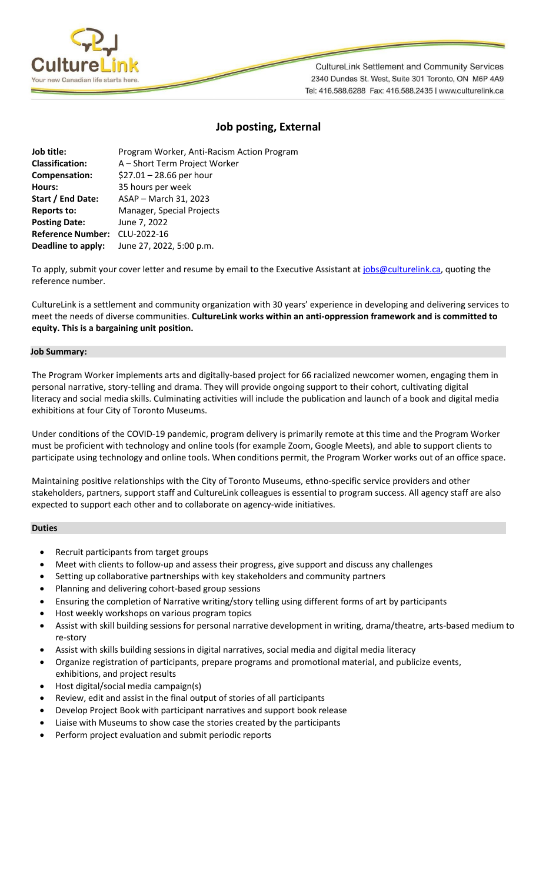

**CultureLink Settlement and Community Services** 2340 Dundas St. West, Suite 301 Toronto, ON M6P 4A9 Tel: 416.588.6288 Fax: 416.588.2435 | www.culturelink.ca

# **Job posting, External**

| Job title:               | Program Worker, Anti-Racism Action Program |
|--------------------------|--------------------------------------------|
| <b>Classification:</b>   | A - Short Term Project Worker              |
| Compensation:            | $$27.01 - 28.66$ per hour                  |
| Hours:                   | 35 hours per week                          |
| Start / End Date:        | ASAP - March 31, 2023                      |
| <b>Reports to:</b>       | Manager, Special Projects                  |
| <b>Posting Date:</b>     | June 7, 2022                               |
| <b>Reference Number:</b> | CLU-2022-16                                |
| Deadline to apply:       | June 27, 2022, 5:00 p.m.                   |

To apply, submit your cover letter and resume by email to the Executive Assistant a[t jobs@culturelink.ca,](mailto:jobs@culturelink.ca) quoting the reference number.

CultureLink is a settlement and community organization with 30 years' experience in developing and delivering services to meet the needs of diverse communities. **CultureLink works within an anti-oppression framework and is committed to equity. This is a bargaining unit position.**

#### **Job Summary:**

The Program Worker implements arts and digitally-based project for 66 racialized newcomer women, engaging them in personal narrative, story-telling and drama. They will provide ongoing support to their cohort, cultivating digital literacy and social media skills. Culminating activities will include the publication and launch of a book and digital media exhibitions at four City of Toronto Museums.

Under conditions of the COVID-19 pandemic, program delivery is primarily remote at this time and the Program Worker must be proficient with technology and online tools (for example Zoom, Google Meets), and able to support clients to participate using technology and online tools. When conditions permit, the Program Worker works out of an office space.

Maintaining positive relationships with the City of Toronto Museums, ethno-specific service providers and other stakeholders, partners, support staff and CultureLink colleagues is essential to program success. All agency staff are also expected to support each other and to collaborate on agency-wide initiatives.

## **Duties**

- Recruit participants from target groups
- Meet with clients to follow-up and assess their progress, give support and discuss any challenges
- Setting up collaborative partnerships with key stakeholders and community partners
- Planning and delivering cohort-based group sessions
- Ensuring the completion of Narrative writing/story telling using different forms of art by participants
- Host weekly workshops on various program topics
- Assist with skill building sessions for personal narrative development in writing, drama/theatre, arts-based medium to re-story
- Assist with skills building sessions in digital narratives, social media and digital media literacy
- Organize registration of participants, prepare programs and promotional material, and publicize events, exhibitions, and project results
- Host digital/social media campaign(s)
- Review, edit and assist in the final output of stories of all participants
- Develop Project Book with participant narratives and support book release
- Liaise with Museums to show case the stories created by the participants
- Perform project evaluation and submit periodic reports